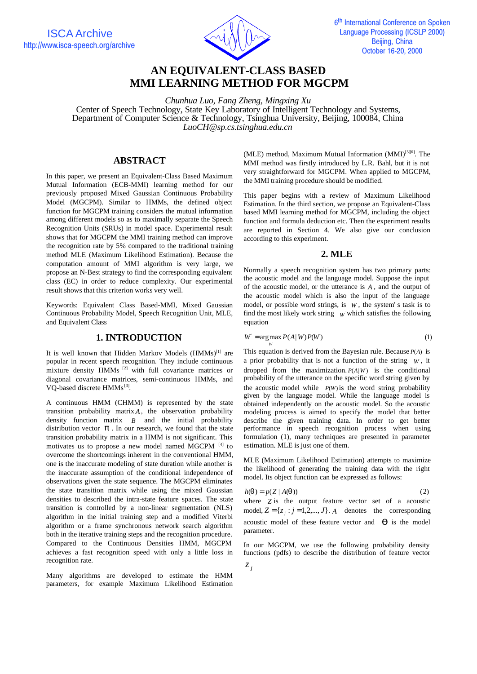

# **AN EQUIVALENT-CLASS BASED MMI LEARNING METHOD FOR MGCPM**

*Chunhua Luo, Fang Zheng, Mingxing Xu* Center of Speech Technology, State Key Laboratory of Intelligent Technology and Systems, Department of Computer Science & Technology, Tsinghua University, Beijing, 100084, China *LuoCH@sp.cs.tsinghua.edu.cn*

## **ABSTRACT**

In this paper, we present an Equivalent-Class Based Maximum Mutual Information (ECB-MMI) learning method for our previously proposed Mixed Gaussian Continuous Probability Model (MGCPM). Similar to HMMs, the defined object function for MGCPM training considers the mutual information among different models so as to maximally separate the Speech Recognition Units (SRUs) in model space. Experimental result shows that for MGCPM the MMI training method can improve the recognition rate by 5% compared to the traditional training method MLE (Maximum Likelihood Estimation). Because the computation amount of MMI algorithm is very large, we propose an N-Best strategy to find the corresponding equivalent class (EC) in order to reduce complexity. Our experimental result shows that this criterion works very well.

Keywords: Equivalent Class Based-MMI, Mixed Gaussian Continuous Probability Model, Speech Recognition Unit, MLE, and Equivalent Class

## **1. INTRODUCTION**

It is well known that Hidden Markov Models  $(HMMs)^{[1]}$  are popular in recent speech recognition. They include continuous mixture density HMMs<sup>[2]</sup> with full covariance matrices or diagonal covariance matrices, semi-continuous HMMs, and VQ-based discrete HMMs<sup>[3]</sup>.

A continuous HMM (CHMM) is represented by the state transition probability matrix *A*, the observation probability density function matrix *B* and the initial probability distribution vector  $\boldsymbol{p}$ . In our research, we found that the state transition probability matrix in a HMM is not significant. This motivates us to propose a new model named MGCPM [4] to overcome the shortcomings inherent in the conventional HMM, one is the inaccurate modeling of state duration while another is the inaccurate assumption of the conditional independence of observations given the state sequence. The MGCPM eliminates the state transition matrix while using the mixed Gaussian densities to described the intra-state feature spaces. The state transition is controlled by a non-linear segmentation (NLS) algorithm in the initial training step and a modified Viterbi algorithm or a frame synchronous network search algorithm both in the iterative training steps and the recognition procedure. Compared to the Continuous Densities HMM, MGCPM achieves a fast recognition speed with only a little loss in recognition rate.

Many algorithms are developed to estimate the HMM parameters, for example Maximum Likelihood Estimation

(MLE) method, Maximum Mutual Information (MMI)<sup>[5][6]</sup>. The MMI method was firstly introduced by L.R. Bahl, but it is not very straightforward for MGCPM. When applied to MGCPM, the MMI training procedure should be modified.

This paper begins with a review of Maximum Likelihood Estimation. In the third section, we propose an Equivalent-Class based MMI learning method for MGCPM, including the object function and formula deduction etc. Then the experiment results are reported in Section 4. We also give our conclusion according to this experiment.

#### **2. MLE**

Normally a speech recognition system has two primary parts: the acoustic model and the language model. Suppose the input of the acoustic model, or the utterance is *A* , and the output of the acoustic model which is also the input of the language model, or possible word strings, is *W* , the system's task is to find the most likely work string  *which satisfies the following* equation

$$
W' = \arg\max P(A|W)P(W)
$$
\n(1)

This equation is derived from the Bayesian rule. Because *P*(*A*) is a prior probability that is not a function of the string *W* , it dropped from the maximization.  $P(A|W)$  is the conditional probability of the utterance on the specific word string given by the acoustic model while  $P(W)$  is the word string probability given by the language model. While the language model is obtained independently on the acoustic model. So the acoustic modeling process is aimed to specify the model that better describe the given training data. In order to get better performance in speech recognition process when using formulation (1), many techniques are presented in parameter estimation. MLE is just one of them.

MLE (Maximum Likelihood Estimation) attempts to maximize the likelihood of generating the training data with the right model. Its object function can be expressed as follows:

$$
h(\mathbf{q}) = p(Z | A(\mathbf{q}))
$$
\nwhere  $Z$  is the output feature vector set of a acoustic model,  $Z = \{z_j : j = 1, 2, ..., J\}$ . A denotes the corresponding acoustic model of these feature vector and  $\mathbf{q}$  is the model parameter.

In our MGCPM, we use the following probability density functions (pdfs) to describe the distribution of feature vector

*W*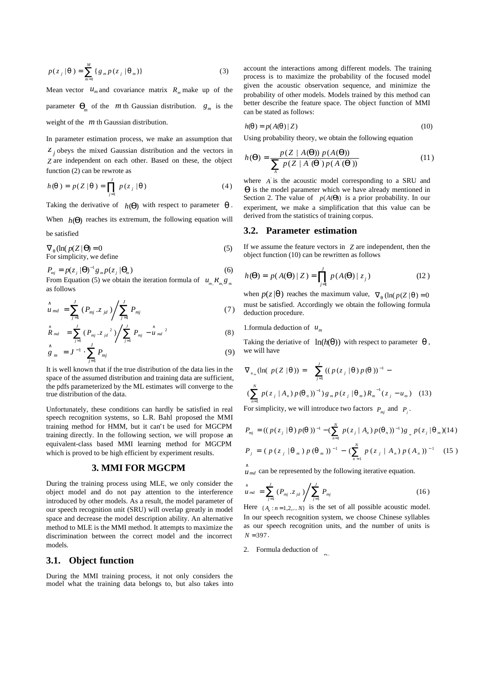$$
p(z_j | \mathbf{q}) = \sum_{m=1}^{M} \{ g_m p(z_j | \mathbf{q}_m) \}
$$
 (3)

Mean vector  $u_m$  and covariance matrix  $R_m$  make up of the parameter  $\boldsymbol{q}_m$  of the *m* th Gaussian distribution.  $g_m$  is the weight of the *m* th Gaussian distribution.

In parameter estimation process, we make an assumption that  $z_j$  obeys the mixed Gaussian distribution and the vectors in *Z* are independent on each other. Based on these, the object function (2) can be rewrote as

$$
h(q) = p(Z | q) = \prod_{j=1}^{J} p(z_j | q)
$$
 (4)

Taking the derivative of  $h(\mathbf{q})$  with respect to parameter  $\mathbf{q}$ . When  $h(\mathbf{q})$  reaches its extremum, the following equation will be satisfied

$$
\nabla_q (\ln (p(Z | \mathbf{q}) = 0
$$
  
For simplicity, we define

$$
P_{mj} = p(z_j | \mathbf{q})^{-1} g_m p(z_j | \mathbf{q}_m)
$$
 (6)

From Equation (5) we obtain the iteration formula of  $u_{m,n} R_{m,8} g_{m,8}$ as follows

$$
\hat{u}_{md} = \sum_{j=1}^{J} (P_{mj} \cdot z_{jd}) / \sum_{j=1}^{J} P_{mj}
$$
 (7)

$$
\hat{R}_{md} = \sum_{j=1}^{J} (P_{mj} \cdot z_{jd}^{2}) / \sum_{j=1}^{J} P_{mj} - \hat{u}_{md}^{2}
$$
\n(8)

$$
\hat{g}_m = J^{-1} \cdot \sum_{j=1}^{J} P_{mj} \tag{9}
$$

It is well known that if the true distribution of the data lies in the space of the assumed distribution and training data are sufficient, the pdfs parameterized by the ML estimates will converge to the true distribution of the data.

Unfortunately, these conditions can hardly be satisfied in real speech recognition systems, so L.R. Bahl proposed the MMI training method for HMM, but it can't be used for MGCPM training directly. In the following section, we will propose an equivalent-class based MMI learning method for MGCPM which is proved to be high efficient by experiment results.

#### **3. MMI FOR MGCPM**

During the training process using MLE, we only consider the object model and do not pay attention to the interference introduced by other models. As a result, the model parameter of our speech recognition unit (SRU) will overlap greatly in model space and decrease the model description ability. An alternative method to MLE is the MMI method. It attempts to maximize the discrimination between the correct model and the incorrect models.

## **3.1. Object function**

During the MMI training process, it not only considers the model what the training data belongs to, but also takes into account the interactions among different models. The training process is to maximize the probability of the focused model given the acoustic observation sequence, and minimize the probability of other models. Models trained by this method can better describe the feature space. The object function of MMI can be stated as follows:

$$
h(q) = p(A(q) | Z)
$$
\n(10)

Using probability theory, we obtain the following equation

$$
h(\mathbf{q}) = \frac{p(Z \mid A(\mathbf{q})) p(A(\mathbf{q}))}{\sum_{A} p(Z \mid A(\mathbf{q}) p(A(\mathbf{q})))}
$$
(11)

where  $\vec{A}$  is the acoustic model corresponding to a SRU and *q* is the model parameter which we have already mentioned in Section 2. The value of  $p(A(q))$  is a prior probability. In our experiment, we make a simplification that this value can be derived from the statistics of training corpus.

#### **3.2. Parameter estimation**

If we assume the feature vectors in *Z* are independent, then the object function (10) can be rewritten as follows

$$
h(\mathbf{q}) = p(A(\mathbf{q}) | Z) = \prod_{j=1}^{J} p(A(\mathbf{q}) | z_j)
$$
 (12)

when  $p(z|\mathbf{q})$  reaches the maximum value,  $\nabla_q (\ln(p(Z|\mathbf{q})) = 0$ must be satisfied. Accordingly we obtain the following formula deduction procedure.

1.formula deduction of  $u_m$ 

Taking the deriative of  $\ln(h(q))$  with respect to parameter  $q$ , we will have

$$
\nabla_{u_m} (\ln (p(Z | q)) = \sum_{j=1}^{J} ((p(z_j | q) p(q))^{-1} - \sum_{j=1}^{N} p(z_j | A_n) p(q_n))^{-1}) g_m p(z_j | q_m) R_m^{-1} (z_j - u_m)
$$
 (13)

For simplicity, we will introduce two factors  $P_{mj}$  and  $P_j$ .

$$
P_{mj} = ((p(z_j | \mathbf{q}) p(\mathbf{q}))^{-1} - (\sum_{n=1}^{N} p(z_j | A_n) p(\mathbf{q}_n))^{-1}) g_{m} p(z_j | \mathbf{q}_m)
$$
(14)  

$$
P_j = (p(z_j | \mathbf{q}_m) p(\mathbf{q}_m))^{-1} - (\sum_{n=1}^{N} p(z_j | A_n) p(A_n))^{-1} (15)
$$

 $\hat{u}_{md}$  can be represented by the following iterative equation.

$$
\hat{u}_{md} = \sum_{j=1}^{J} (P_{mj} \cdot z_{jd}) / \sum_{j=1}^{J} P_{mj}
$$
\n(16)

Here  $\{A_n : n = 1, 2, \dots N\}$  is the set of all possible acoustic model. In our speech recognition system, we choose Chinese syllables as our speech recognition units, and the number of units is  $N = 397$ .

2. Formula deduction of *Rm*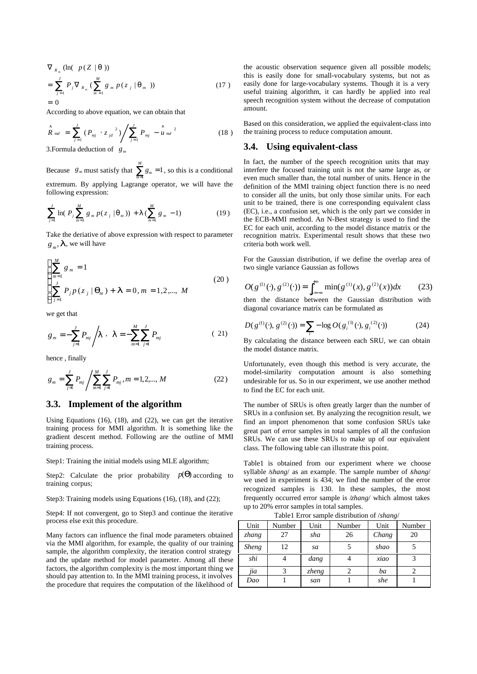$$
\nabla_{R_m} (\ln( p(Z | \mathbf{q})))
$$
  
=  $\sum_{j=1}^{J} P_j \nabla_{R_m} (\sum_{m=1}^{M} g_m p(z_j | \mathbf{q}_m))$  (17)  
= 0

According to above equation, we can obtain that

$$
\hat{R}_{md} = \sum_{j=1}^{J} (P_{mj} \cdot z_{jd}^{2}) / \sum_{j=1}^{J} P_{mj} - \hat{u}_{md}^{2}
$$
\n(18)

3.Formula deduction of *g<sup>m</sup>*

Because  $g_m$  must satisfy that  $\sum_{m=1}^{M} g_m =$  $\sum_{m=1}^{n} g_m = 1$ , so this is a conditional extremum. By applying Lagrange operator, we will have the following expression:

$$
\sum_{j=1}^{J} \ln(P_j \sum_{m=1}^{M} g_m p(z_j | \mathbf{q}_m)) + I \left( \sum_{m=1}^{M} g_m - 1 \right)
$$
 (19)

Take the deriative of above expression with respect to parameter  $g_m$ ,  $\boldsymbol{I}$ , we will have

$$
\begin{cases} \sum_{m=1}^{M} g_m = 1 \\ \sum_{j=1}^{J} P_j p(z_j | \mathbf{q}_m) + \mathbf{I} = 0, m = 1, 2, ..., M \end{cases}
$$
 (20)

we get that

$$
g_m = -\sum_{j=1}^{J} P_{mj} / I \, , \, I = -\sum_{m=1}^{M} \sum_{j=1}^{J} P_{mj} \qquad (21)
$$

hence , finally

$$
g_m = \sum_{j=1}^{J} P_{mj} / \sum_{m=1}^{M} \sum_{j=1}^{J} P_{mj}, m = 1, 2, ..., M
$$
 (22)

#### **3.3. Implement of the algorithm**

Using Equations (16), (18), and (22), we can get the iterative training process for MMI algorithm. It is something like the gradient descent method. Following are the outline of MMI training process.

Step1: Training the initial models using MLE algorithm;

Step2: Calculate the prior probability  $p(\boldsymbol{q})$  according to training corpus;

Step3: Training models using Equations (16), (18), and (22);

Step4: If not convergent, go to Step3 and continue the iterative process else exit this procedure.

Many factors can influence the final mode parameters obtained via the MMI algorithm, for example, the quality of our training sample, the algorithm complexity, the iteration control strategy and the update method for model parameter. Among all these factors, the algorithm complexity is the most important thing we should pay attention to. In the MMI training process, it involves the procedure that requires the computation of the likelihood of the acoustic observation sequence given all possible models; this is easily done for small-vocabulary systems, but not as easily done for large-vocabulary systems. Though it is a very useful training algorithm, it can hardly be applied into real speech recognition system without the decrease of computation amount.

Based on this consideration, we applied the equivalent-class into the training process to reduce computation amount.

### **3.4. Using equivalent-class**

In fact, the number of the speech recognition units that may interfere the focused training unit is not the same large as, or even much smaller than, the total number of units. Hence in the definition of the MMI training object function there is no need to consider all the units, but only those similar units. For each unit to be trained, there is one corresponding equivalent class (EC), i.e., a confusion set, which is the only part we consider in the ECB-MMI method. An N-Best strategy is used to find the EC for each unit, according to the model distance matrix or the recognition matrix. Experimental result shows that these two criteria both work well.

For the Gaussian distribution, if we define the overlap area of two single variance Gaussian as follows

$$
O(g^{(1)}(\cdot), g^{(2)}(\cdot)) = \int_{x = -\infty}^{+\infty} \min(g^{(1)}(x), g^{(2)}(x)) dx
$$
 (23)

then the distance between the Gaussian distribution with diagonal covariance matrix can be formulated as

$$
D(g^{(1)}(\cdot), g^{(2)}(\cdot)) = \sum_{i} -\log O(g_i^{(1)}(\cdot), g_i^{(2)}(\cdot))
$$
 (24)

By calculating the distance between each SRU, we can obtain the model distance matrix.

Unfortunately, even though this method is very accurate, the model-similarity computation amount is also something undesirable for us. So in our experiment, we use another method to find the EC for each unit.

The number of SRUs is often greatly larger than the number of SRUs in a confusion set. By analyzing the recognition result, we find an import phenomenon that some confusion SRUs take great part of error samples in total samples of all the confusion SRUs. We can use these SRUs to make up of our equivalent class. The following table can illustrate this point.

Table1 is obtained from our experiment where we choose syllable */shang/* as an example. The sample number of */shang/* we used in experiment is 434; we find the number of the error recognized samples is 130. In these samples, the most frequently occurred error sample is /*zhang*/ which almost takes up to 20% error samples in total samples.

Table1 Error sample distribution of /*shang*/

| Unit         | Number | Unit            | Number | Unit  | Number |  |  |  |  |
|--------------|--------|-----------------|--------|-------|--------|--|--|--|--|
| zhang        | 27     | sha             | 26     | Chang | 20     |  |  |  |  |
| <b>Sheng</b> | 12     | sa              |        | shao  |        |  |  |  |  |
| shi          |        | dang            |        | xiao  |        |  |  |  |  |
| jia          |        | $z$ <i>heng</i> |        | ba    |        |  |  |  |  |
| Dao          |        | san             |        | she   |        |  |  |  |  |